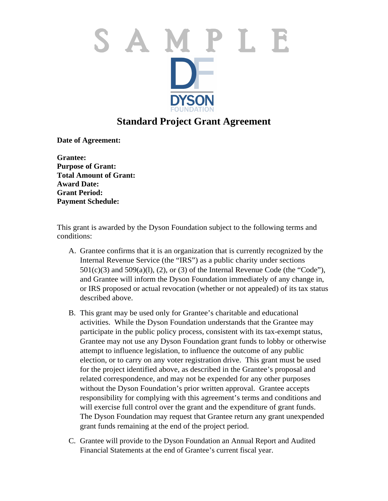

## **Standard Project Grant Agreement**

**Date of Agreement:** 

**Grantee: Purpose of Grant: Total Amount of Grant: Award Date: Grant Period: Payment Schedule:**

This grant is awarded by the Dyson Foundation subject to the following terms and conditions:

- A. Grantee confirms that it is an organization that is currently recognized by the Internal Revenue Service (the "IRS") as a public charity under sections  $501(c)(3)$  and  $509(a)(1)$ , (2), or (3) of the Internal Revenue Code (the "Code"), and Grantee will inform the Dyson Foundation immediately of any change in, or IRS proposed or actual revocation (whether or not appealed) of its tax status described above.
- B. This grant may be used only for Grantee's charitable and educational activities. While the Dyson Foundation understands that the Grantee may participate in the public policy process, consistent with its tax-exempt status, Grantee may not use any Dyson Foundation grant funds to lobby or otherwise attempt to influence legislation, to influence the outcome of any public election, or to carry on any voter registration drive. This grant must be used for the project identified above, as described in the Grantee's proposal and related correspondence, and may not be expended for any other purposes without the Dyson Foundation's prior written approval. Grantee accepts responsibility for complying with this agreement's terms and conditions and will exercise full control over the grant and the expenditure of grant funds. The Dyson Foundation may request that Grantee return any grant unexpended grant funds remaining at the end of the project period.
- C. Grantee will provide to the Dyson Foundation an Annual Report and Audited Financial Statements at the end of Grantee's current fiscal year.